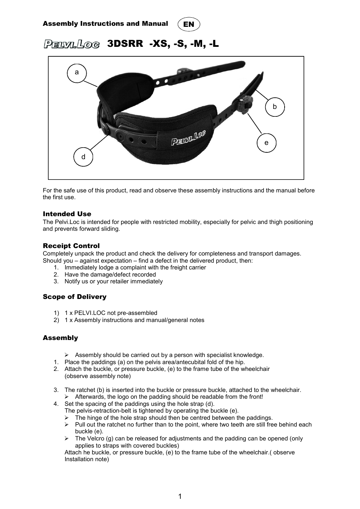



# PELVILLOG 3DSRR -XS, -S, -M, -L



For the safe use of this product, read and observe these assembly instructions and the manual before the first use.

## Intended Use

The Pelvi.Loc is intended for people with restricted mobility, especially for pelvic and thigh positioning and prevents forward sliding.

## Receipt Control

Completely unpack the product and check the delivery for completeness and transport damages. Should you – against expectation – find a defect in the delivered product, then:

- 1. Immediately lodge a complaint with the freight carrier
- 2. Have the damage/defect recorded
- 3. Notify us or your retailer immediately

# Scope of Delivery

- 1) 1 x PELVI.LOC not pre-assembled
- 2) 1 x Assembly instructions and manual/general notes

# Assembly

- $\triangleright$  Assembly should be carried out by a person with specialist knowledge.
- 1. Place the paddings (a) on the pelvis area/antecubital fold of the hip.
- 2. Attach the buckle, or pressure buckle, (e) to the frame tube of the wheelchair (observe assembly note)
- 3. The ratchet (b) is inserted into the buckle or pressure buckle, attached to the wheelchair.  $\triangleright$  Afterwards, the logo on the padding should be readable from the front!
- 4. Set the spacing of the paddings using the hole strap (d).
	- The pelvis-retraction-belt is tightened by operating the buckle (e).
		- $\triangleright$  The hinge of the hole strap should then be centred between the paddings.
		- $\triangleright$  Pull out the ratchet no further than to the point, where two teeth are still free behind each buckle (e).
		- $\triangleright$  The Velcro (g) can be released for adjustments and the padding can be opened (only applies to straps with covered buckles)

Attach he buckle, or pressure buckle, (e) to the frame tube of the wheelchair.( observe Installation note)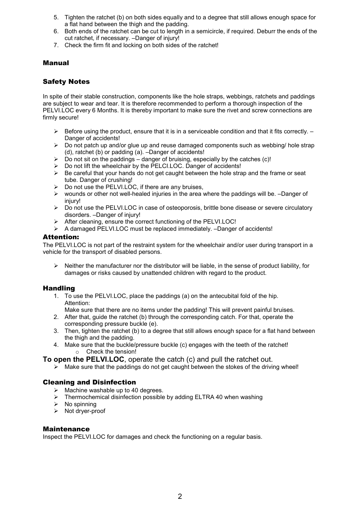- 5. Tighten the ratchet (b) on both sides equally and to a degree that still allows enough space for a flat hand between the thigh and the padding.
- 6. Both ends of the ratchet can be cut to length in a semicircle, if required. Deburr the ends of the cut ratchet, if necessary. –Danger of injury!
- 7. Check the firm fit and locking on both sides of the ratchet!

## Manual

## Safety Notes

In spite of their stable construction, components like the hole straps, webbings, ratchets and paddings are subject to wear and tear. It is therefore recommended to perform a thorough inspection of the PELVI.LOC every 6 Months. It is thereby important to make sure the rivet and screw connections are firmly secure!

- $\triangleright$  Before using the product, ensure that it is in a serviceable condition and that it fits correctly.  $-$ Danger of accidents!
- $\triangleright$  Do not patch up and/or glue up and reuse damaged components such as webbing/ hole strap (d), ratchet (b) or padding (a). –Danger of accidents!
- $\triangleright$  Do not sit on the paddings danger of bruising, especially by the catches (c)!
- $\geq$  Do not lift the wheelchair by the PELCI.LOC. Danger of accidents!
- $\triangleright$  Be careful that your hands do not get caught between the hole strap and the frame or seat tube. Danger of crushing!
- $\triangleright$  Do not use the PELVI. LOC, if there are any bruises,
- $\triangleright$  wounds or other not well-healed injuries in the area where the paddings will be. -Danger of injury!
- ▶ Do not use the PELVI.LOC in case of osteoporosis, brittle bone disease or severe circulatory disorders. –Danger of injury!
- $\triangleright$  After cleaning, ensure the correct functioning of the PELVI.LOC!
- $\triangleright$  A damaged PELVI.LOC must be replaced immediately. -Danger of accidents!

## Attention:

The PELVI.LOC is not part of the restraint system for the wheelchair and/or user during transport in a vehicle for the transport of disabled persons.

 $\triangleright$  Neither the manufacturer nor the distributor will be liable, in the sense of product liability, for damages or risks caused by unattended children with regard to the product.

## **Handling**

- 1. To use the PELVI.LOC, place the paddings (a) on the antecubital fold of the hip. Attention:
	- Make sure that there are no items under the padding! This will prevent painful bruises.
- 2. After that, guide the ratchet (b) through the corresponding catch. For that, operate the corresponding pressure buckle (e).
- 3. Then, tighten the ratchet (b) to a degree that still allows enough space for a flat hand between the thigh and the padding.
- 4. Make sure that the buckle/pressure buckle (c) engages with the teeth of the ratchet! Check the tension!

**To open the PELVI.LOC**, operate the catch (c) and pull the ratchet out.

 $\triangleright$  Make sure that the paddings do not get caught between the stokes of the driving wheel!

# Cleaning and Disinfection

- $\triangleright$  Machine washable up to 40 degrees.
- $\triangleright$  Thermochemical disinfection possible by adding ELTRA 40 when washing
- $\triangleright$  No spinning
- $\triangleright$  Not dryer-proof

#### Maintenance

Inspect the PELVI.LOC for damages and check the functioning on a regular basis.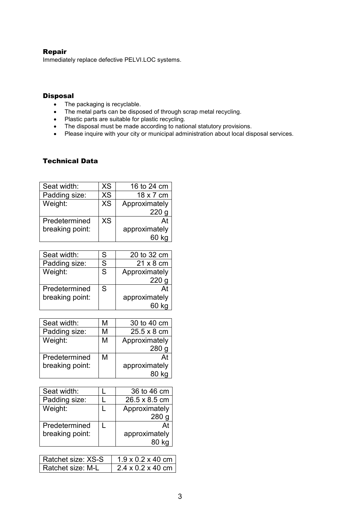# Repair

Immediately replace defective PELVI.LOC systems.

## **Disposal**

- The packaging is recyclable.
- The metal parts can be disposed of through scrap metal recycling.
- Plastic parts are suitable for plastic recycling.
- The disposal must be made according to national statutory provisions.
- Please inquire with your city or municipal administration about local disposal services.

# Technical Data

| Seat width:     | XS        | 16 to 24 cm   |  |
|-----------------|-----------|---------------|--|
| Padding size:   | <b>XS</b> | 18 x 7 cm     |  |
| Weight:         | <b>XS</b> | Approximately |  |
|                 |           | 220           |  |
| Predetermined   | XS        | At            |  |
| breaking point: |           | approximately |  |
|                 |           |               |  |

| Seat width:     | S | 20 to 32 cm   |  |
|-----------------|---|---------------|--|
| Padding size:   | S | 21 x 8 cm     |  |
| Weight:         | S | Approximately |  |
|                 |   | 220           |  |
| Predetermined   | S | At            |  |
| breaking point: |   | approximately |  |
|                 |   |               |  |

| Seat width:     | М | 30 to 40 cm   |  |
|-----------------|---|---------------|--|
| Padding size:   | М | 25.5 x 8 cm   |  |
| Weight:         | М | Approximately |  |
|                 |   | 280           |  |
| Predetermined   | М | At            |  |
| breaking point: |   | approximately |  |
|                 |   |               |  |

| Seat width:     | 36 to 46 cm   |
|-----------------|---------------|
| Padding size:   | 26.5 x 8.5 cm |
| Weight:         | Approximately |
|                 | <b>280</b>    |
| Predetermined   | At            |
| breaking point: | approximately |
|                 |               |

| l Ratchet size: XS-S | $1.9 \times 0.2 \times 40$ cm |
|----------------------|-------------------------------|
| l Ratchet size: M-L  | $2.4 \times 0.2 \times 40$ cm |